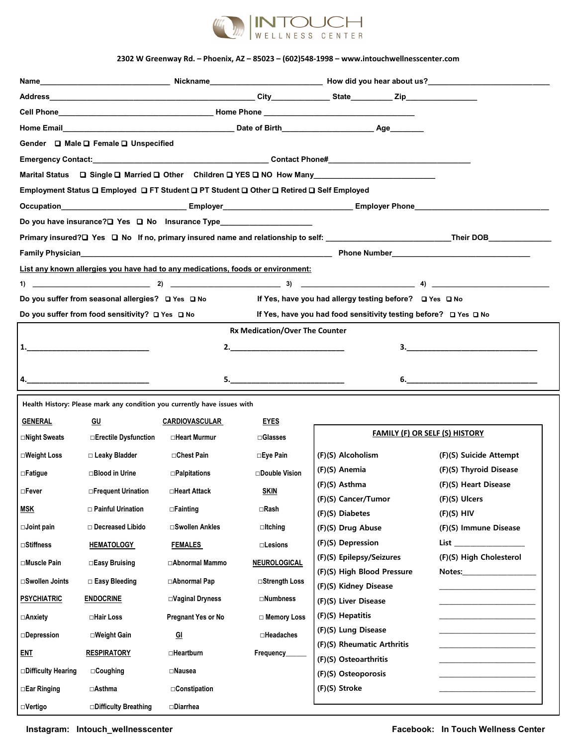

## **2302 W Greenway Rd. – Phoenix, AZ – 85023 – (602)548-1998 – www.intouchwellnesscenter.com**

| Gender □ Male □ Female □ Unspecified<br>Employment Status Q Employed Q FT Student Q PT Student Q Other Q Retired Q Self Employed<br>Do you have insurance? <sup>[1]</sup> Yes <sup>[1]</sup> No lnsurance Type__________________________<br>If Yes, have you had allergy testing before? □ Yes □ No<br>If Yes, have you had food sensitivity testing before? □ Yes □ No<br><b>Rx Medication/Over The Counter</b><br>$\overline{\mathbf{3.}}$<br>$\mathbf{6.}$<br>Health History: Please mark any condition you currently have issues with<br>GENERAL<br>GU<br><b>EYES</b><br><b>CARDIOVASCULAR</b><br><b>FAMILY (F) OR SELF (S) HISTORY</b><br><b>□Night Sweats</b><br><b>□Erectile Dysfunction</b><br>⊡Heart Murmur<br>$\square$ Glasses<br>□Weight Loss<br>□ Leaky Bladder<br>□Chest Pain<br>(F)(S) Alcoholism<br>(F)(S) Suicide Attempt<br>⊟Eye Pain<br>(F)(S) Anemia<br>(F)(S) Thyroid Disease<br>□Double Vision<br>$\Box$ Blood in Urine<br>$\Box$ Palpitations<br>(F)(S) Asthma<br>(F)(S) Heart Disease<br><b>SKIN</b><br>□Frequent Urination<br>□Heart Attack<br>(F)(S) Cancer/Tumor<br>(F)(S) Ulcers<br>□ Painful Urination<br>$\Box$ Rash<br>$\Box$ Fainting<br>(F)(S) Diabetes<br>$(F)(S)$ HIV<br>□ Decreased Libido<br><b>□Swollen Ankles</b><br>$\Box$ Itching<br>(F)(S) Immune Disease<br>(F)(S) Drug Abuse<br>(F)(S) Depression<br>List the contract of the contract of the contract of the contract of the contract of the contract of the contract of the contract of the contract of the contract of the contract of the contract of the contract of the contr<br><b>HEMATOLOGY</b><br><b>FEMALES</b><br>$\square$ Lesions<br>(F)(S) Epilepsy/Seizures<br>(F)(S) High Cholesterol<br>⊡Muscle Pain<br>□Easy Bruising<br>□Abnormal Mammo<br>NEUROLOGICAL<br>(F)(S) High Blood Pressure<br>Notes: when the contract of the contract of the contract of the contract of the contract of the contract of the contract of the contract of the contract of the contract of the contract of the contract of the contract of th<br><b>⊟Swollen Joints</b><br>□ Abnormal Pap<br>□ Easy Bleeding<br><b>□Strength Loss</b><br>(F)(S) Kidney Disease<br><b>ENDOCRINE</b><br>$\square$ Numbness<br>$\square$ Vaginal Dryness<br>(F)(S) Liver Disease<br>(F)(S) Hepatitis<br>Pregnant Yes or No<br>⊟Anxiety<br>⊟Hair Loss<br>□ Memory Loss<br>(F)(S) Lung Disease<br>$\square$ Headaches<br>□Weight Gain<br><u>GI</u><br>(F)(S) Rheumatic Arthritis<br>$\Box$ Heartburn<br><b>RESPIRATORY</b><br>Frequency_<br>(F)(S) Osteoarthritis<br>$\Box$ Coughing<br>$\square$ Nausea<br>(F)(S) Osteoporosis |                                                                                                            |  |  |  |  |  |  |  |
|------------------------------------------------------------------------------------------------------------------------------------------------------------------------------------------------------------------------------------------------------------------------------------------------------------------------------------------------------------------------------------------------------------------------------------------------------------------------------------------------------------------------------------------------------------------------------------------------------------------------------------------------------------------------------------------------------------------------------------------------------------------------------------------------------------------------------------------------------------------------------------------------------------------------------------------------------------------------------------------------------------------------------------------------------------------------------------------------------------------------------------------------------------------------------------------------------------------------------------------------------------------------------------------------------------------------------------------------------------------------------------------------------------------------------------------------------------------------------------------------------------------------------------------------------------------------------------------------------------------------------------------------------------------------------------------------------------------------------------------------------------------------------------------------------------------------------------------------------------------------------------------------------------------------------------------------------------------------------------------------------------------------------------------------------------------------------------------------------------------------------------------------------------------------------------------------------------------------------------------------------------------------------------------------------------------------------------------------------------------------------------------------------------------------------------------------------------------------------------------------------------------------------------------------------------------------------------------------------|------------------------------------------------------------------------------------------------------------|--|--|--|--|--|--|--|
|                                                                                                                                                                                                                                                                                                                                                                                                                                                                                                                                                                                                                                                                                                                                                                                                                                                                                                                                                                                                                                                                                                                                                                                                                                                                                                                                                                                                                                                                                                                                                                                                                                                                                                                                                                                                                                                                                                                                                                                                                                                                                                                                                                                                                                                                                                                                                                                                                                                                                                                                                                                                      |                                                                                                            |  |  |  |  |  |  |  |
|                                                                                                                                                                                                                                                                                                                                                                                                                                                                                                                                                                                                                                                                                                                                                                                                                                                                                                                                                                                                                                                                                                                                                                                                                                                                                                                                                                                                                                                                                                                                                                                                                                                                                                                                                                                                                                                                                                                                                                                                                                                                                                                                                                                                                                                                                                                                                                                                                                                                                                                                                                                                      |                                                                                                            |  |  |  |  |  |  |  |
|                                                                                                                                                                                                                                                                                                                                                                                                                                                                                                                                                                                                                                                                                                                                                                                                                                                                                                                                                                                                                                                                                                                                                                                                                                                                                                                                                                                                                                                                                                                                                                                                                                                                                                                                                                                                                                                                                                                                                                                                                                                                                                                                                                                                                                                                                                                                                                                                                                                                                                                                                                                                      |                                                                                                            |  |  |  |  |  |  |  |
|                                                                                                                                                                                                                                                                                                                                                                                                                                                                                                                                                                                                                                                                                                                                                                                                                                                                                                                                                                                                                                                                                                                                                                                                                                                                                                                                                                                                                                                                                                                                                                                                                                                                                                                                                                                                                                                                                                                                                                                                                                                                                                                                                                                                                                                                                                                                                                                                                                                                                                                                                                                                      |                                                                                                            |  |  |  |  |  |  |  |
|                                                                                                                                                                                                                                                                                                                                                                                                                                                                                                                                                                                                                                                                                                                                                                                                                                                                                                                                                                                                                                                                                                                                                                                                                                                                                                                                                                                                                                                                                                                                                                                                                                                                                                                                                                                                                                                                                                                                                                                                                                                                                                                                                                                                                                                                                                                                                                                                                                                                                                                                                                                                      |                                                                                                            |  |  |  |  |  |  |  |
|                                                                                                                                                                                                                                                                                                                                                                                                                                                                                                                                                                                                                                                                                                                                                                                                                                                                                                                                                                                                                                                                                                                                                                                                                                                                                                                                                                                                                                                                                                                                                                                                                                                                                                                                                                                                                                                                                                                                                                                                                                                                                                                                                                                                                                                                                                                                                                                                                                                                                                                                                                                                      | Marital Status □ Single □ Married □ Other Children □ YES □ NO How Many National Communication = 0.00       |  |  |  |  |  |  |  |
|                                                                                                                                                                                                                                                                                                                                                                                                                                                                                                                                                                                                                                                                                                                                                                                                                                                                                                                                                                                                                                                                                                                                                                                                                                                                                                                                                                                                                                                                                                                                                                                                                                                                                                                                                                                                                                                                                                                                                                                                                                                                                                                                                                                                                                                                                                                                                                                                                                                                                                                                                                                                      |                                                                                                            |  |  |  |  |  |  |  |
|                                                                                                                                                                                                                                                                                                                                                                                                                                                                                                                                                                                                                                                                                                                                                                                                                                                                                                                                                                                                                                                                                                                                                                                                                                                                                                                                                                                                                                                                                                                                                                                                                                                                                                                                                                                                                                                                                                                                                                                                                                                                                                                                                                                                                                                                                                                                                                                                                                                                                                                                                                                                      | Occupation_______________________________Employer_______________________________Employer Phone____________ |  |  |  |  |  |  |  |
|                                                                                                                                                                                                                                                                                                                                                                                                                                                                                                                                                                                                                                                                                                                                                                                                                                                                                                                                                                                                                                                                                                                                                                                                                                                                                                                                                                                                                                                                                                                                                                                                                                                                                                                                                                                                                                                                                                                                                                                                                                                                                                                                                                                                                                                                                                                                                                                                                                                                                                                                                                                                      |                                                                                                            |  |  |  |  |  |  |  |
|                                                                                                                                                                                                                                                                                                                                                                                                                                                                                                                                                                                                                                                                                                                                                                                                                                                                                                                                                                                                                                                                                                                                                                                                                                                                                                                                                                                                                                                                                                                                                                                                                                                                                                                                                                                                                                                                                                                                                                                                                                                                                                                                                                                                                                                                                                                                                                                                                                                                                                                                                                                                      |                                                                                                            |  |  |  |  |  |  |  |
|                                                                                                                                                                                                                                                                                                                                                                                                                                                                                                                                                                                                                                                                                                                                                                                                                                                                                                                                                                                                                                                                                                                                                                                                                                                                                                                                                                                                                                                                                                                                                                                                                                                                                                                                                                                                                                                                                                                                                                                                                                                                                                                                                                                                                                                                                                                                                                                                                                                                                                                                                                                                      |                                                                                                            |  |  |  |  |  |  |  |
|                                                                                                                                                                                                                                                                                                                                                                                                                                                                                                                                                                                                                                                                                                                                                                                                                                                                                                                                                                                                                                                                                                                                                                                                                                                                                                                                                                                                                                                                                                                                                                                                                                                                                                                                                                                                                                                                                                                                                                                                                                                                                                                                                                                                                                                                                                                                                                                                                                                                                                                                                                                                      | List any known allergies you have had to any medications, foods or environment:                            |  |  |  |  |  |  |  |
|                                                                                                                                                                                                                                                                                                                                                                                                                                                                                                                                                                                                                                                                                                                                                                                                                                                                                                                                                                                                                                                                                                                                                                                                                                                                                                                                                                                                                                                                                                                                                                                                                                                                                                                                                                                                                                                                                                                                                                                                                                                                                                                                                                                                                                                                                                                                                                                                                                                                                                                                                                                                      |                                                                                                            |  |  |  |  |  |  |  |
|                                                                                                                                                                                                                                                                                                                                                                                                                                                                                                                                                                                                                                                                                                                                                                                                                                                                                                                                                                                                                                                                                                                                                                                                                                                                                                                                                                                                                                                                                                                                                                                                                                                                                                                                                                                                                                                                                                                                                                                                                                                                                                                                                                                                                                                                                                                                                                                                                                                                                                                                                                                                      | Do you suffer from seasonal allergies? □ Yes □ No                                                          |  |  |  |  |  |  |  |
|                                                                                                                                                                                                                                                                                                                                                                                                                                                                                                                                                                                                                                                                                                                                                                                                                                                                                                                                                                                                                                                                                                                                                                                                                                                                                                                                                                                                                                                                                                                                                                                                                                                                                                                                                                                                                                                                                                                                                                                                                                                                                                                                                                                                                                                                                                                                                                                                                                                                                                                                                                                                      | Do you suffer from food sensitivity? $\Box$ Yes $\Box$ No                                                  |  |  |  |  |  |  |  |
|                                                                                                                                                                                                                                                                                                                                                                                                                                                                                                                                                                                                                                                                                                                                                                                                                                                                                                                                                                                                                                                                                                                                                                                                                                                                                                                                                                                                                                                                                                                                                                                                                                                                                                                                                                                                                                                                                                                                                                                                                                                                                                                                                                                                                                                                                                                                                                                                                                                                                                                                                                                                      |                                                                                                            |  |  |  |  |  |  |  |
|                                                                                                                                                                                                                                                                                                                                                                                                                                                                                                                                                                                                                                                                                                                                                                                                                                                                                                                                                                                                                                                                                                                                                                                                                                                                                                                                                                                                                                                                                                                                                                                                                                                                                                                                                                                                                                                                                                                                                                                                                                                                                                                                                                                                                                                                                                                                                                                                                                                                                                                                                                                                      |                                                                                                            |  |  |  |  |  |  |  |
|                                                                                                                                                                                                                                                                                                                                                                                                                                                                                                                                                                                                                                                                                                                                                                                                                                                                                                                                                                                                                                                                                                                                                                                                                                                                                                                                                                                                                                                                                                                                                                                                                                                                                                                                                                                                                                                                                                                                                                                                                                                                                                                                                                                                                                                                                                                                                                                                                                                                                                                                                                                                      |                                                                                                            |  |  |  |  |  |  |  |
|                                                                                                                                                                                                                                                                                                                                                                                                                                                                                                                                                                                                                                                                                                                                                                                                                                                                                                                                                                                                                                                                                                                                                                                                                                                                                                                                                                                                                                                                                                                                                                                                                                                                                                                                                                                                                                                                                                                                                                                                                                                                                                                                                                                                                                                                                                                                                                                                                                                                                                                                                                                                      |                                                                                                            |  |  |  |  |  |  |  |
|                                                                                                                                                                                                                                                                                                                                                                                                                                                                                                                                                                                                                                                                                                                                                                                                                                                                                                                                                                                                                                                                                                                                                                                                                                                                                                                                                                                                                                                                                                                                                                                                                                                                                                                                                                                                                                                                                                                                                                                                                                                                                                                                                                                                                                                                                                                                                                                                                                                                                                                                                                                                      |                                                                                                            |  |  |  |  |  |  |  |
|                                                                                                                                                                                                                                                                                                                                                                                                                                                                                                                                                                                                                                                                                                                                                                                                                                                                                                                                                                                                                                                                                                                                                                                                                                                                                                                                                                                                                                                                                                                                                                                                                                                                                                                                                                                                                                                                                                                                                                                                                                                                                                                                                                                                                                                                                                                                                                                                                                                                                                                                                                                                      |                                                                                                            |  |  |  |  |  |  |  |
|                                                                                                                                                                                                                                                                                                                                                                                                                                                                                                                                                                                                                                                                                                                                                                                                                                                                                                                                                                                                                                                                                                                                                                                                                                                                                                                                                                                                                                                                                                                                                                                                                                                                                                                                                                                                                                                                                                                                                                                                                                                                                                                                                                                                                                                                                                                                                                                                                                                                                                                                                                                                      |                                                                                                            |  |  |  |  |  |  |  |
|                                                                                                                                                                                                                                                                                                                                                                                                                                                                                                                                                                                                                                                                                                                                                                                                                                                                                                                                                                                                                                                                                                                                                                                                                                                                                                                                                                                                                                                                                                                                                                                                                                                                                                                                                                                                                                                                                                                                                                                                                                                                                                                                                                                                                                                                                                                                                                                                                                                                                                                                                                                                      |                                                                                                            |  |  |  |  |  |  |  |
|                                                                                                                                                                                                                                                                                                                                                                                                                                                                                                                                                                                                                                                                                                                                                                                                                                                                                                                                                                                                                                                                                                                                                                                                                                                                                                                                                                                                                                                                                                                                                                                                                                                                                                                                                                                                                                                                                                                                                                                                                                                                                                                                                                                                                                                                                                                                                                                                                                                                                                                                                                                                      |                                                                                                            |  |  |  |  |  |  |  |
|                                                                                                                                                                                                                                                                                                                                                                                                                                                                                                                                                                                                                                                                                                                                                                                                                                                                                                                                                                                                                                                                                                                                                                                                                                                                                                                                                                                                                                                                                                                                                                                                                                                                                                                                                                                                                                                                                                                                                                                                                                                                                                                                                                                                                                                                                                                                                                                                                                                                                                                                                                                                      | ⊟Fatigue                                                                                                   |  |  |  |  |  |  |  |
|                                                                                                                                                                                                                                                                                                                                                                                                                                                                                                                                                                                                                                                                                                                                                                                                                                                                                                                                                                                                                                                                                                                                                                                                                                                                                                                                                                                                                                                                                                                                                                                                                                                                                                                                                                                                                                                                                                                                                                                                                                                                                                                                                                                                                                                                                                                                                                                                                                                                                                                                                                                                      | ⊟Fever                                                                                                     |  |  |  |  |  |  |  |
|                                                                                                                                                                                                                                                                                                                                                                                                                                                                                                                                                                                                                                                                                                                                                                                                                                                                                                                                                                                                                                                                                                                                                                                                                                                                                                                                                                                                                                                                                                                                                                                                                                                                                                                                                                                                                                                                                                                                                                                                                                                                                                                                                                                                                                                                                                                                                                                                                                                                                                                                                                                                      | <u>MSK</u>                                                                                                 |  |  |  |  |  |  |  |
|                                                                                                                                                                                                                                                                                                                                                                                                                                                                                                                                                                                                                                                                                                                                                                                                                                                                                                                                                                                                                                                                                                                                                                                                                                                                                                                                                                                                                                                                                                                                                                                                                                                                                                                                                                                                                                                                                                                                                                                                                                                                                                                                                                                                                                                                                                                                                                                                                                                                                                                                                                                                      | $\Box$ Joint pain                                                                                          |  |  |  |  |  |  |  |
|                                                                                                                                                                                                                                                                                                                                                                                                                                                                                                                                                                                                                                                                                                                                                                                                                                                                                                                                                                                                                                                                                                                                                                                                                                                                                                                                                                                                                                                                                                                                                                                                                                                                                                                                                                                                                                                                                                                                                                                                                                                                                                                                                                                                                                                                                                                                                                                                                                                                                                                                                                                                      | □Stiffness                                                                                                 |  |  |  |  |  |  |  |
|                                                                                                                                                                                                                                                                                                                                                                                                                                                                                                                                                                                                                                                                                                                                                                                                                                                                                                                                                                                                                                                                                                                                                                                                                                                                                                                                                                                                                                                                                                                                                                                                                                                                                                                                                                                                                                                                                                                                                                                                                                                                                                                                                                                                                                                                                                                                                                                                                                                                                                                                                                                                      |                                                                                                            |  |  |  |  |  |  |  |
|                                                                                                                                                                                                                                                                                                                                                                                                                                                                                                                                                                                                                                                                                                                                                                                                                                                                                                                                                                                                                                                                                                                                                                                                                                                                                                                                                                                                                                                                                                                                                                                                                                                                                                                                                                                                                                                                                                                                                                                                                                                                                                                                                                                                                                                                                                                                                                                                                                                                                                                                                                                                      |                                                                                                            |  |  |  |  |  |  |  |
|                                                                                                                                                                                                                                                                                                                                                                                                                                                                                                                                                                                                                                                                                                                                                                                                                                                                                                                                                                                                                                                                                                                                                                                                                                                                                                                                                                                                                                                                                                                                                                                                                                                                                                                                                                                                                                                                                                                                                                                                                                                                                                                                                                                                                                                                                                                                                                                                                                                                                                                                                                                                      |                                                                                                            |  |  |  |  |  |  |  |
|                                                                                                                                                                                                                                                                                                                                                                                                                                                                                                                                                                                                                                                                                                                                                                                                                                                                                                                                                                                                                                                                                                                                                                                                                                                                                                                                                                                                                                                                                                                                                                                                                                                                                                                                                                                                                                                                                                                                                                                                                                                                                                                                                                                                                                                                                                                                                                                                                                                                                                                                                                                                      | <b>PSYCHIATRIC</b>                                                                                         |  |  |  |  |  |  |  |
|                                                                                                                                                                                                                                                                                                                                                                                                                                                                                                                                                                                                                                                                                                                                                                                                                                                                                                                                                                                                                                                                                                                                                                                                                                                                                                                                                                                                                                                                                                                                                                                                                                                                                                                                                                                                                                                                                                                                                                                                                                                                                                                                                                                                                                                                                                                                                                                                                                                                                                                                                                                                      |                                                                                                            |  |  |  |  |  |  |  |
|                                                                                                                                                                                                                                                                                                                                                                                                                                                                                                                                                                                                                                                                                                                                                                                                                                                                                                                                                                                                                                                                                                                                                                                                                                                                                                                                                                                                                                                                                                                                                                                                                                                                                                                                                                                                                                                                                                                                                                                                                                                                                                                                                                                                                                                                                                                                                                                                                                                                                                                                                                                                      | <b>Depression</b>                                                                                          |  |  |  |  |  |  |  |
|                                                                                                                                                                                                                                                                                                                                                                                                                                                                                                                                                                                                                                                                                                                                                                                                                                                                                                                                                                                                                                                                                                                                                                                                                                                                                                                                                                                                                                                                                                                                                                                                                                                                                                                                                                                                                                                                                                                                                                                                                                                                                                                                                                                                                                                                                                                                                                                                                                                                                                                                                                                                      | <u>ent</u>                                                                                                 |  |  |  |  |  |  |  |
|                                                                                                                                                                                                                                                                                                                                                                                                                                                                                                                                                                                                                                                                                                                                                                                                                                                                                                                                                                                                                                                                                                                                                                                                                                                                                                                                                                                                                                                                                                                                                                                                                                                                                                                                                                                                                                                                                                                                                                                                                                                                                                                                                                                                                                                                                                                                                                                                                                                                                                                                                                                                      | □Difficulty Hearing                                                                                        |  |  |  |  |  |  |  |
| (F)(S) Stroke<br>□Asthma<br>$\Box$ Constipation                                                                                                                                                                                                                                                                                                                                                                                                                                                                                                                                                                                                                                                                                                                                                                                                                                                                                                                                                                                                                                                                                                                                                                                                                                                                                                                                                                                                                                                                                                                                                                                                                                                                                                                                                                                                                                                                                                                                                                                                                                                                                                                                                                                                                                                                                                                                                                                                                                                                                                                                                      | □Ear Ringing                                                                                               |  |  |  |  |  |  |  |
| □Difficulty Breathing<br>⊟Diarrhea                                                                                                                                                                                                                                                                                                                                                                                                                                                                                                                                                                                                                                                                                                                                                                                                                                                                                                                                                                                                                                                                                                                                                                                                                                                                                                                                                                                                                                                                                                                                                                                                                                                                                                                                                                                                                                                                                                                                                                                                                                                                                                                                                                                                                                                                                                                                                                                                                                                                                                                                                                   | ⊡Vertigo                                                                                                   |  |  |  |  |  |  |  |

**Instagram: Intouch\_wellnesscenter Facebook: In Touch Wellness Center**